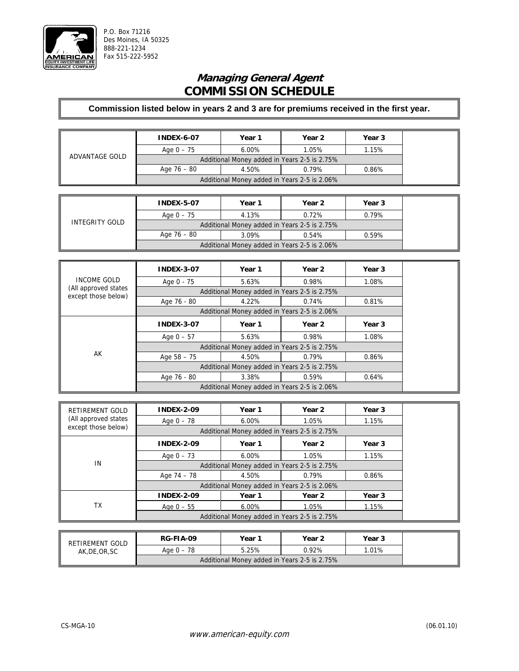

# **Managing General Agent COMMISSION SCHEDULE**

| ADVANTAGE GOLD | <b>INDEX-6-07</b>                            | Year 1            | Year 2 | Year 3 |  |  |
|----------------|----------------------------------------------|-------------------|--------|--------|--|--|
|                | Age 0 – 75                                   | 1.05%<br>$6.00\%$ |        | 1.15%  |  |  |
|                | Additional Money added in Years 2-5 is 2.75% |                   |        |        |  |  |
|                | Age 76 – 80                                  | 4.50%             | 0.79%  | 0.86%  |  |  |
|                | Additional Money added in Years 2-5 is 2.06% |                   |        |        |  |  |

| INTEGRITY GOLD | <b>INDEX-5-07</b>                            | Year 1 | Year 2         | Year 3 |  |  |
|----------------|----------------------------------------------|--------|----------------|--------|--|--|
|                | Age $0 - 75$                                 | 4.13%  | 0.79%<br>0.72% |        |  |  |
|                | Additional Money added in Years 2-5 is 2.75% |        |                |        |  |  |
|                | Age 76 – 80                                  | 3.09%  | 0.54%          | 0.59%  |  |  |
|                | Additional Money added in Years 2-5 is 2.06% |        |                |        |  |  |

|                                             | <b>INDEX-3-07</b>                            | Year 1                                       | Year 2 | Year 3 |  |  |
|---------------------------------------------|----------------------------------------------|----------------------------------------------|--------|--------|--|--|
| INCOME GOLD                                 | Age 0 - 75                                   | 5.63%                                        | 0.98%  | 1.08%  |  |  |
| (All approved states<br>except those below) |                                              | Additional Money added in Years 2-5 is 2.75% |        |        |  |  |
|                                             | Age 76 - 80                                  | 4.22%                                        | 0.74%  | 0.81%  |  |  |
|                                             |                                              | Additional Money added in Years 2-5 is 2.06% |        |        |  |  |
|                                             | <b>INDEX-3-07</b>                            | Year 1                                       | Year 2 | Year 3 |  |  |
|                                             | Age $0 - 57$                                 | 5.63%                                        | 0.98%  | 1.08%  |  |  |
|                                             | Additional Money added in Years 2-5 is 2.75% |                                              |        |        |  |  |
| AK                                          | Age $58 - 75$                                | 4.50%                                        | 0.79%  | 0.86%  |  |  |
|                                             | Additional Money added in Years 2-5 is 2.75% |                                              |        |        |  |  |
|                                             | Age 76 - 80                                  | 3.38%                                        | 0.59%  | 0.64%  |  |  |
|                                             |                                              | Additional Money added in Years 2-5 is 2.06% |        |        |  |  |

| RETIREMENT GOLD      | <b>INDEX-2-09</b>                            | Year 1                                       | Year 2 | Year 3 |  |  |  |
|----------------------|----------------------------------------------|----------------------------------------------|--------|--------|--|--|--|
| (All approved states | Age $0 - 78$                                 | $6.00\%$                                     | 1.05%  | 1.15%  |  |  |  |
| except those below)  |                                              | Additional Money added in Years 2-5 is 2.75% |        |        |  |  |  |
|                      | <b>INDEX-2-09</b>                            | Year 1                                       | Year 2 | Year 3 |  |  |  |
|                      | Age $0 - 73$                                 | $6.00\%$                                     | 1.05%  | 1.15%  |  |  |  |
| IN                   | Additional Money added in Years 2-5 is 2.75% |                                              |        |        |  |  |  |
|                      | Age $74 - 78$                                | 4.50%                                        | 0.79%  | 0.86%  |  |  |  |
|                      | Additional Money added in Years 2-5 is 2.06% |                                              |        |        |  |  |  |
| ТX                   | <b>INDEX-2-09</b>                            | Year 1                                       | Year 2 | Year 3 |  |  |  |
|                      | Age $0 - 55$                                 | $6.00\%$                                     | 1.05%  | 1.15%  |  |  |  |
|                      | Additional Money added in Years 2-5 is 2.75% |                                              |        |        |  |  |  |

| RETIREMENT GOLD<br>AK, DE, OR, SC | <b>RG-FIA-09</b>                             | Year 1 | Year 2   | Year 3 |  |  |
|-----------------------------------|----------------------------------------------|--------|----------|--------|--|--|
|                                   | Age 0 - 78                                   | 5.25%  | $0.92\%$ | 1.01%  |  |  |
|                                   | Additional Money added in Years 2-5 is 2.75% |        |          |        |  |  |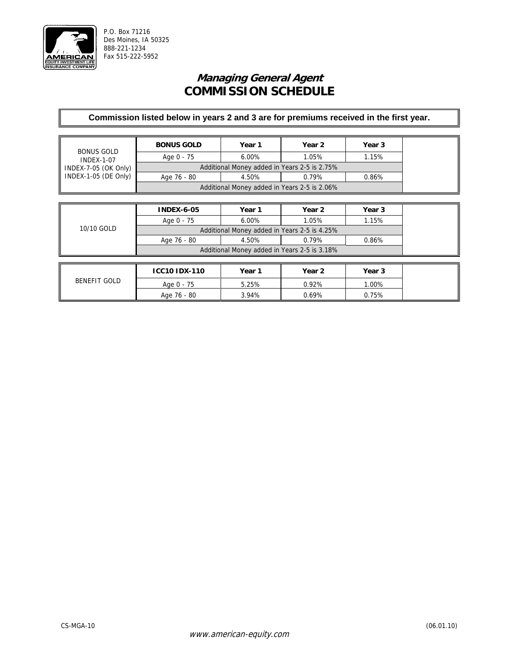

## **Managing General Agent COMMISSION SCHEDULE**

| <b>BONUS GOLD</b>    | <b>BONUS GOLD</b>                            | Year 1                                       | Year 2 | Year 3 |  |
|----------------------|----------------------------------------------|----------------------------------------------|--------|--------|--|
| <b>INDEX-1-07</b>    | Age 0 - 75                                   | $6.00\%$                                     | 1.05%  | 1.15%  |  |
| INDEX-7-05 (OK Only) |                                              | Additional Money added in Years 2-5 is 2.75% |        |        |  |
| INDEX-1-05 (DE Only) | Age 76 - 80                                  | 4.50%                                        | 0.79%  | 0.86%  |  |
|                      |                                              | Additional Money added in Years 2-5 is 2.06% |        |        |  |
|                      |                                              |                                              |        |        |  |
|                      | <b>INDEX-6-05</b>                            | Year 1                                       | Year 2 | Year 3 |  |
|                      | Age 0 - 75                                   | $6.00\%$                                     | 1.05%  | 1.15%  |  |
| 10/10 GOLD           | Additional Money added in Years 2-5 is 4.25% |                                              |        |        |  |
|                      | Age 76 - 80                                  | 4.50%                                        | 0.79%  | 0.86%  |  |
|                      |                                              | Additional Money added in Years 2-5 is 3.18% |        |        |  |
|                      |                                              |                                              |        |        |  |
|                      | <b>ICC10 IDX-110</b>                         | Year 1                                       | Year 2 | Year 3 |  |
| <b>BENEFIT GOLD</b>  | Age 0 - 75                                   | 5.25%                                        | 0.92%  | 1.00%  |  |
|                      | Age 76 - 80                                  | 3.94%                                        | 0.69%  | 0.75%  |  |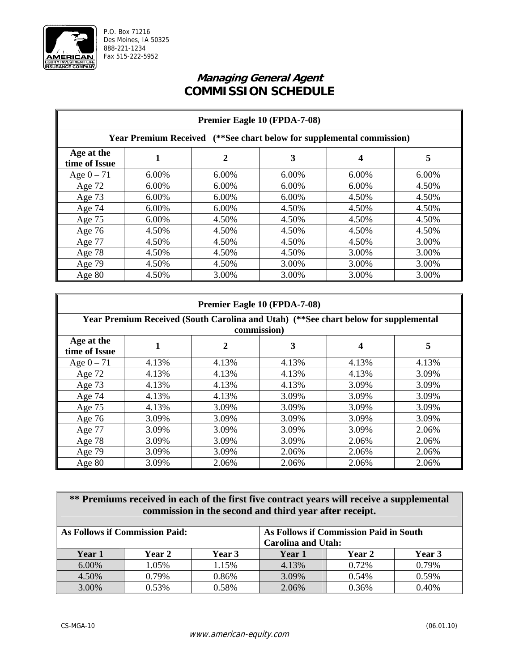

# **Managing General Agent COMMISSION SCHEDULE**

|                             | Premier Eagle 10 (FPDA-7-08) |       |                                                                       |       |       |  |
|-----------------------------|------------------------------|-------|-----------------------------------------------------------------------|-------|-------|--|
|                             |                              |       | Year Premium Received (**See chart below for supplemental commission) |       |       |  |
| Age at the<br>time of Issue |                              | 2     | 3                                                                     | 4     | 5     |  |
| Age $0 - 71$                | 6.00%                        | 6.00% | 6.00%                                                                 | 6.00% | 6.00% |  |
| Age $72$                    | 6.00%                        | 6.00% | 6.00%                                                                 | 6.00% | 4.50% |  |
| Age 73                      | 6.00%                        | 6.00% | 6.00%                                                                 | 4.50% | 4.50% |  |
| Age 74                      | 6.00%                        | 6.00% | 4.50%                                                                 | 4.50% | 4.50% |  |
| Age $75$                    | 6.00%                        | 4.50% | 4.50%                                                                 | 4.50% | 4.50% |  |
| Age $76$                    | 4.50%                        | 4.50% | 4.50%                                                                 | 4.50% | 4.50% |  |
| Age 77                      | 4.50%                        | 4.50% | 4.50%                                                                 | 4.50% | 3.00% |  |
| Age $78$                    | 4.50%                        | 4.50% | 4.50%                                                                 | 3.00% | 3.00% |  |
| Age 79                      | 4.50%                        | 4.50% | 3.00%                                                                 | 3.00% | 3.00% |  |
| Age 80                      | 4.50%                        | 3.00% | 3.00%                                                                 | 3.00% | 3.00% |  |

|                             | Premier Eagle 10 (FPDA-7-08) |       |                                                                                     |       |       |  |
|-----------------------------|------------------------------|-------|-------------------------------------------------------------------------------------|-------|-------|--|
|                             |                              |       | Year Premium Received (South Carolina and Utah) (**See chart below for supplemental |       |       |  |
|                             |                              |       | commission)                                                                         |       |       |  |
| Age at the<br>time of Issue |                              | 2     | 3                                                                                   | 4     | 5     |  |
| Age $0 - 71$                | 4.13%                        | 4.13% | 4.13%                                                                               | 4.13% | 4.13% |  |
| Age $72$                    | 4.13%                        | 4.13% | 4.13%                                                                               | 4.13% | 3.09% |  |
| Age 73                      | 4.13%                        | 4.13% | 4.13%                                                                               | 3.09% | 3.09% |  |
| Age 74                      | 4.13%                        | 4.13% | 3.09%                                                                               | 3.09% | 3.09% |  |
| Age 75                      | 4.13%                        | 3.09% | 3.09%                                                                               | 3.09% | 3.09% |  |
| Age $76$                    | 3.09%                        | 3.09% | 3.09%                                                                               | 3.09% | 3.09% |  |
| Age 77                      | 3.09%                        | 3.09% | 3.09%                                                                               | 3.09% | 2.06% |  |
| Age $78$                    | 3.09%                        | 3.09% | 3.09%                                                                               | 2.06% | 2.06% |  |
| Age 79                      | 3.09%                        | 3.09% | 2.06%                                                                               | 2.06% | 2.06% |  |
| Age $80$                    | 3.09%                        | 2.06% | 2.06%                                                                               | 2.06% | 2.06% |  |

|        | ** Premiums received in each of the first five contract years will receive a supplemental<br>commission in the second and third year after receipt. |        |        |               |        |  |
|--------|-----------------------------------------------------------------------------------------------------------------------------------------------------|--------|--------|---------------|--------|--|
|        | As Follows if Commission Paid:<br>As Follows if Commission Paid in South<br><b>Carolina and Utah:</b>                                               |        |        |               |        |  |
| Year 1 | Year 2                                                                                                                                              | Year 3 | Year 1 | <b>Year 2</b> | Year 3 |  |
| 6.00%  | 1.05%                                                                                                                                               | 1.15%  | 4.13%  | 0.72%         | 0.79%  |  |
| 4.50%  | 0.79%                                                                                                                                               | 0.86%  | 3.09%  | 0.54%         | 0.59%  |  |
| 3.00%  | 0.53%                                                                                                                                               | 0.58%  | 2.06%  | 0.36%         | 0.40%  |  |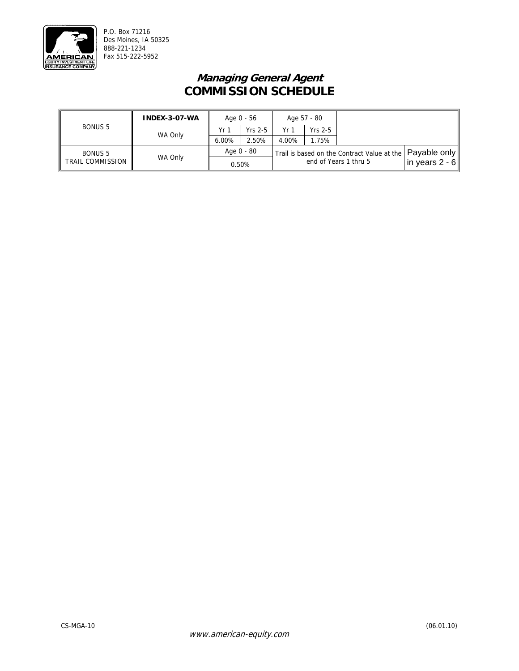

# **Managing General Agent COMMISSION SCHEDULE**

| INDEX-3-07-WA    |         |       | Age 0 - 56 |       | Age 57 - 80 |                                                            |                  |
|------------------|---------|-------|------------|-------|-------------|------------------------------------------------------------|------------------|
| <b>BONUS 5</b>   |         | Yr 1  | $Yrs$ 2-5  | Yr 1  | $Yrs$ 2-5   |                                                            |                  |
|                  | WA Only | 6.00% | 2.50%      | 4.00% | 1.75%       |                                                            |                  |
| <b>BONUS 5</b>   |         |       | Age 0 - 80 |       |             | Trail is based on the Contract Value at the   Payable only |                  |
| TRAIL COMMISSION | WA Only |       | 0.50%      |       |             | end of Years 1 thru 5                                      | in years $2 - 6$ |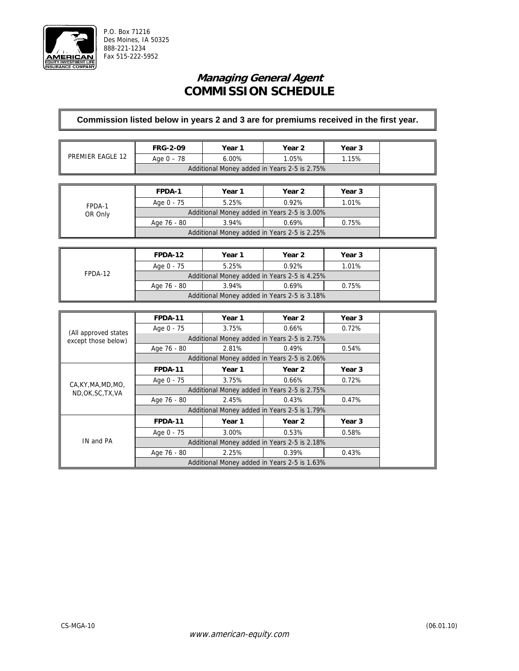

## **Managing General Agent COMMISSION SCHEDULE**

| PREMIER EAGLE 12 | <b>FRG-2-09</b>                              | Year 1   | Year 2 | Year 3 |  |  |
|------------------|----------------------------------------------|----------|--------|--------|--|--|
|                  | Age $0 - 78$                                 | $6.00\%$ | 1.05%  | 1.15%  |  |  |
|                  | Additional Money added in Years 2-5 is 2.75% |          |        |        |  |  |
|                  |                                              |          |        |        |  |  |
|                  | FPDA-1                                       | Year 1   | Year 2 | Year 3 |  |  |

| FPDA-1<br>OR Only | FPDA-1                                       | Year 1 | Year 2 | Year 3 |  |  |
|-------------------|----------------------------------------------|--------|--------|--------|--|--|
|                   | 1.01%<br>5.25%<br>0.92%<br>Age 0 - 75        |        |        |        |  |  |
|                   | Additional Money added in Years 2-5 is 3.00% |        |        |        |  |  |
|                   | 3.94%<br>0.69%<br>0.75%<br>Age 76 - 80       |        |        |        |  |  |
|                   | Additional Money added in Years 2-5 is 2.25% |        |        |        |  |  |

|         | FPDA-12     | Year 1 | Year 2                                       | Year 3 |
|---------|-------------|--------|----------------------------------------------|--------|
|         | Age 0 - 75  | 5.25%  | 0.92%                                        | 1.01%  |
| FPDA-12 |             |        | Additional Money added in Years 2-5 is 4.25% |        |
|         | Age 76 - 80 | 3.94%  | 0.69%                                        | 0.75%  |
|         |             |        | Additional Money added in Years 2-5 is 3.18% |        |

|                       | FPDA-11        | Year 1 | Year 2                                       | Year 3 |
|-----------------------|----------------|--------|----------------------------------------------|--------|
| (All approved states) | Age 0 - 75     | 3.75%  | 0.66%                                        | 0.72%  |
| except those below)   |                |        | Additional Money added in Years 2-5 is 2.75% |        |
|                       | Age 76 - 80    | 2.81%  | 0.49%                                        | 0.54%  |
|                       |                |        | Additional Money added in Years 2-5 is 2.06% |        |
| CA, KY, MA, MD, MO,   | <b>FPDA-11</b> | Year 1 | Year 2                                       | Year 3 |
|                       | Age 0 - 75     | 3.75%  | 0.66%                                        | 0.72%  |
| ND, OK, SC, TX, VA    |                |        | Additional Money added in Years 2-5 is 2.75% |        |
|                       | Age 76 - 80    | 2.45%  | 0.43%                                        | 0.47%  |
|                       |                |        | Additional Money added in Years 2-5 is 1.79% |        |
|                       | <b>FPDA-11</b> | Year 1 | Year 2                                       | Year 3 |
|                       | Age 0 - 75     | 3.00%  | 0.53%                                        | 0.58%  |
| IN and PA             |                |        | Additional Money added in Years 2-5 is 2.18% |        |
|                       | Age 76 - 80    | 2.25%  | 0.39%                                        | 0.43%  |
|                       |                |        | Additional Money added in Years 2-5 is 1.63% |        |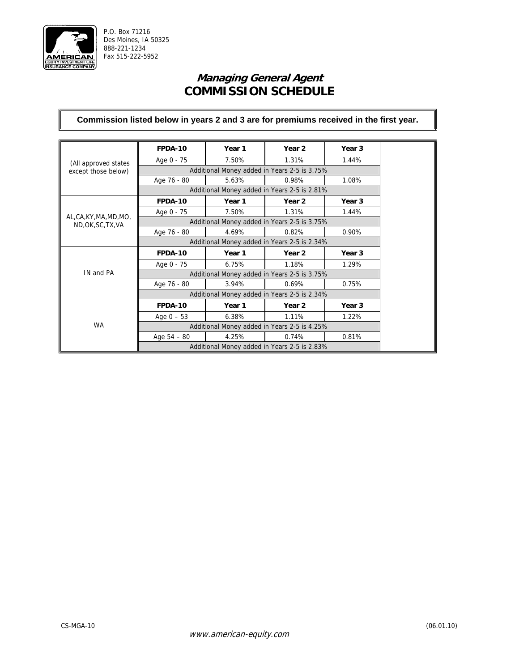

# **Managing General Agent COMMISSION SCHEDULE**

|                                          | FPDA-10       | Year 1 | Year 2                                       | Year 3            |
|------------------------------------------|---------------|--------|----------------------------------------------|-------------------|
| (All approved states                     | Age 0 - 75    | 7.50%  | 1.31%                                        | 1.44%             |
| except those below)                      |               |        | Additional Money added in Years 2-5 is 3.75% |                   |
|                                          | Age 76 - 80   | 5.63%  | 0.98%                                        | 1.08%             |
|                                          |               |        | Additional Money added in Years 2-5 is 2.81% |                   |
|                                          | FPDA-10       | Year 1 | Year <sub>2</sub>                            | Year <sub>3</sub> |
|                                          | Age 0 - 75    | 7.50%  | 1.31%                                        | 1.44%             |
| AL,CA,KY,MA,MD,MO,<br>ND, OK, SC, TX, VA |               |        | Additional Money added in Years 2-5 is 3.75% |                   |
|                                          | Age 76 - 80   | 4.69%  | 0.82%                                        | 0.90%             |
|                                          |               |        | Additional Money added in Years 2-5 is 2.34% |                   |
|                                          | FPDA-10       | Year 1 | Year <sub>2</sub>                            | Year <sub>3</sub> |
|                                          | Age 0 - 75    | 6.75%  | 1.18%                                        | 1.29%             |
| IN and PA                                |               |        | Additional Money added in Years 2-5 is 3.75% |                   |
|                                          | Age 76 - 80   | 3.94%  | 0.69%                                        | 0.75%             |
|                                          |               |        | Additional Money added in Years 2-5 is 2.34% |                   |
|                                          | FPDA-10       | Year 1 | Year 2                                       | Year <sub>3</sub> |
|                                          | Age $0 - 53$  | 6.38%  | 1.11%                                        | 1.22%             |
| <b>WA</b>                                |               |        | Additional Money added in Years 2-5 is 4.25% |                   |
|                                          | Age $54 - 80$ | 4.25%  | 0.74%                                        | 0.81%             |
|                                          |               |        | Additional Money added in Years 2-5 is 2.83% |                   |